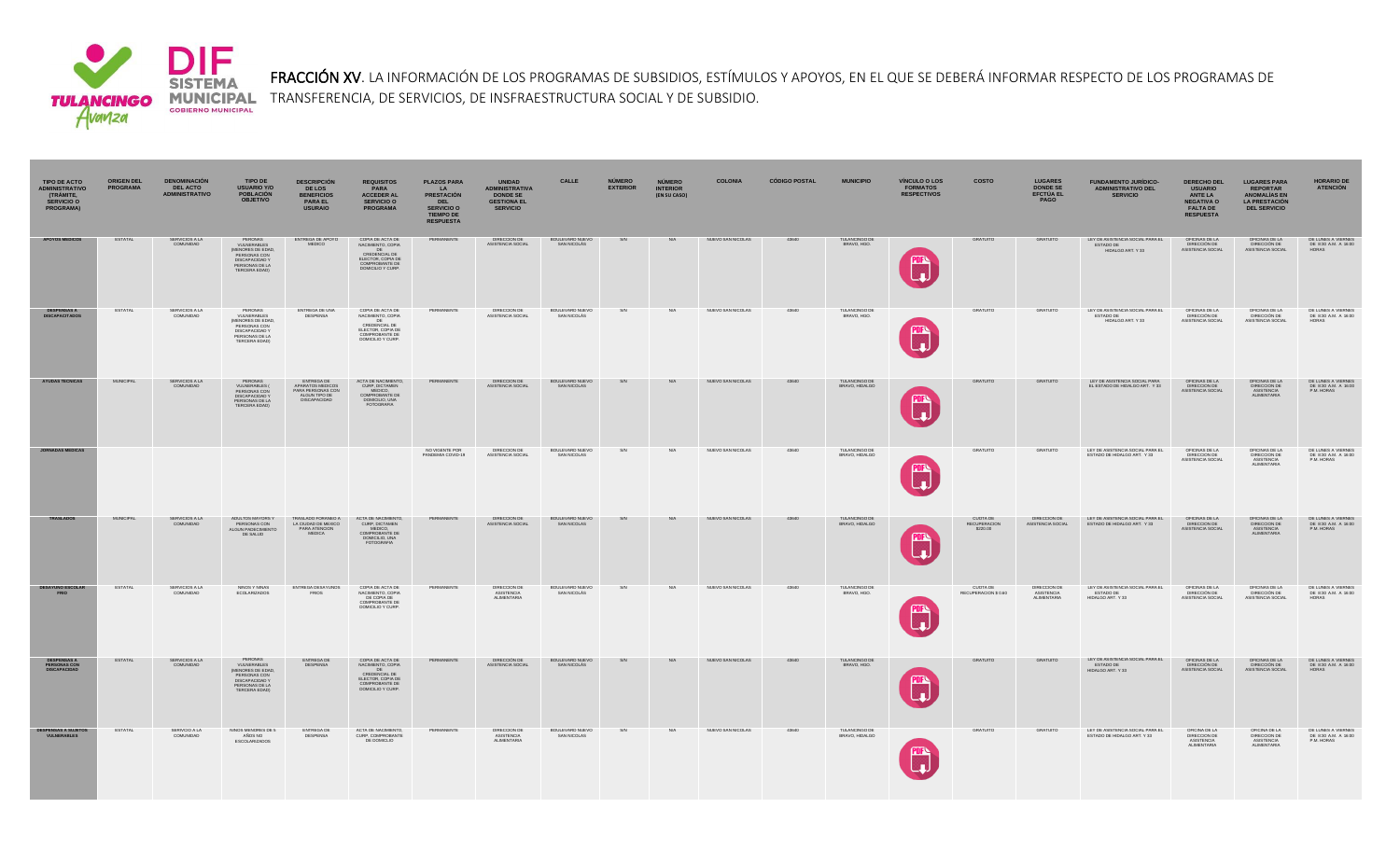

FRACCIÓN XV. LA INFORMACIÓN DE LOS PROGRAMAS DE SUBSIDIOS, ESTÍMULOS Y APOYOS, EN EL QUE SE DEBERÁ INFORMAR RESPECTO DE LOS PROGRAMAS DE **MUNICIPAL** TRANSFERENCIA, DE SERVICIOS, DE INSFRAESTRUCTURA SOCIAL Y DE SUBSIDIO.<br>GOBIERNO MUNICIPAL

| <b>TIPO DE ACTO</b><br><b>ADMINISTRATIVO</b><br>(TRÁMITE,<br><b>SERVICIO O</b><br><b>PROGRAMA)</b> | <b>ORIGEN DEL</b><br><b>PROGRAMA</b> | <b>DENOMINACIÓN</b><br><b>DEL ACTO</b><br><b>ADMINISTRATIVO</b> | TIPO DE<br>USUARIO Y/O<br><b>POBLACIÓN</b><br><b>OBJETIVO</b>                                                            | <b>DESCRIPCIÓN</b><br><b>DE LOS</b><br><b>BENEFICIOS</b><br><b>PARA EL</b><br><b>USURAIO</b> | <b>REQUISITOS</b><br>PARA<br><b>ACCEDER AL</b><br><b>SERVICIO O</b><br><b>PROGRAMA</b>                                  | <b>PLAZOS PARA</b><br>LA<br><b>PRESTACIÓN</b><br><b>DEL</b><br><b>SERVICIO O</b><br><b>TIEMPO DE</b><br><b>RESPUESTA</b> | UNIDAD<br>ADMINISTRATIVA<br><b>DONDE SE</b><br><b>GESTIONA EL</b><br><b>SERVICIO</b> | CALLE                          | <b>NÚMERO</b><br><b>EXTERIOR</b> | <b>NÚMERO</b><br><b>INTERIOR</b><br>(EN SU CASO) | <b>COLONIA</b>    | <b>CÓDIGO POSTAL</b> | <b>MUNICIPIO</b>                       | <b>VÍNCULO O LOS</b><br><b>FORMATOS</b><br><b>RESPECTIVOS</b> | <b>COSTO</b>                                | <b>LUGARES<br/>DONDE SE</b><br>EFCTÚA EL<br>PAGO | <b>FUNDAMENTO JURÍDICO-</b><br><b>ADMINISTRATIVO DEL</b><br><b>SERVICIO</b> | <b>DERECHO DEL</b><br><b>USUARIO</b><br><b>ANTE LA</b><br><b>NEGATIVA O</b><br><b>FALTA DE</b><br><b>RESPUESTA</b> | <b>LUGARES PARA</b><br><b>REPORTAR</b><br><b>ANOMALIAS EN</b><br><b>LA PRESTACIÓN</b><br><b>DEL SERVICIO</b> | <b>HORARIO DE</b><br><b>ATENCIÓN</b>                       |
|----------------------------------------------------------------------------------------------------|--------------------------------------|-----------------------------------------------------------------|--------------------------------------------------------------------------------------------------------------------------|----------------------------------------------------------------------------------------------|-------------------------------------------------------------------------------------------------------------------------|--------------------------------------------------------------------------------------------------------------------------|--------------------------------------------------------------------------------------|--------------------------------|----------------------------------|--------------------------------------------------|-------------------|----------------------|----------------------------------------|---------------------------------------------------------------|---------------------------------------------|--------------------------------------------------|-----------------------------------------------------------------------------|--------------------------------------------------------------------------------------------------------------------|--------------------------------------------------------------------------------------------------------------|------------------------------------------------------------|
| <b>APOYOS MEDICOS</b>                                                                              | <b>ESTATAL</b>                       | SERVICIOS A LA<br>COMUNIDAD                                     | PERONAS<br>VULNERABLES<br>(MENORES DE EDAD,<br>PERSONAS CON<br>DISCAPACIDAD Y<br>PERSONAS DE LA<br>TERCERA EDAD)         | ENTREGA DE APOYO<br><b>MEDICO</b>                                                            | COPIA DE ACTA DE<br>NACIMIENTO, COPIA<br>CREDENCIAL DE<br>ELECTOR, COPIA DE<br>COMPROBANTE DE<br>DOMICILIO Y CURP.      | PERMANENTE                                                                                                               | DIRECCIÓN DE<br>ASISTENCIA SOCIAL                                                    | BOULEVARD NUEVO<br>SAN NICOLAS | S/N                              | N/A                                              | NUEVO SAN NICOLAS | 43640                | TULANCINGO DE<br>BRAVO, HGO,           | <b>PDF</b>                                                    | <b>GRATUITO</b>                             | <b>GRATUITO</b>                                  | LEY DE ASISTENCIA SOCIAL PARA EL<br>ESTADO DE<br>HIDALGO ART. Y 33          | OFICINAS DE LA<br>DIRECCIÓN DE<br>ASISTENCIA SOCIAL                                                                | OFICINAS DE LA<br>DIRECCIÓN DE<br>ASISTENCIA SOCIAL                                                          | DE LUNES A VIERNES<br>DE 8:30 A.M. A 16:00<br>HORAS        |
| <b>DESPENSAS A<br/>DISCAPACITADOS</b>                                                              | ESTATAL                              | SERVICIOS A LA<br>COMUNIDAD                                     | PERONAS<br>VIJI NERABLES<br>MENORES DE EDAD,<br>PERSONAS CON<br>DISCAPACIDAD Y<br>PERSONAS DE LA<br><b>TERCERA EDADI</b> | ENTREGA DE UNA<br><b>DESPENSA</b>                                                            | COPIA DE ACTA DE<br>NACIMIENTO, COPIA<br>DE<br>CREDENCIAL DE<br>ELECTOR, COPIA DE<br>COMPROBANTE DE<br>DOMICILIO Y CURP | PERMANENTE                                                                                                               | DIRECCIÓN DE<br>ASISTENCIA SOCIAL                                                    | BOULEVARD NUEVO<br>SAN NICOLÁS | S/N                              | N/A                                              | NUEVO SAN NICOLAS | 43640                | TULANCINGO DE<br>BRAVO, HGO.           | 酽                                                             | GRATUITO                                    | GRATUITO                                         | LEY DE ASISTENCIA SOCIAL PARA EL<br>ESTADO DE<br>HIDALGO ART. Y 33          | OFICINAS DE LA<br>DIRECCIÓN DE<br>ASISTENCIA SOCIAL                                                                | OFICINAS DE LA<br>DIRECCIÓN DE<br>ASISTENCIA SOCIAL                                                          | DE LUNES A VIERNES<br>DE 8:30 A.M. A 16:00<br><b>HORAS</b> |
| <b>AYUDAS TECNICAS</b>                                                                             | <b>MUNICIPAL</b>                     | SERVICIOS A LA<br>COMUNIDAD                                     | PERONAS<br>VULNERABLES (<br>PERSONAS CON<br>DISCAPACIDAD<br>PERSONAS DE LA<br>TERCERA EDADI                              | <b>ENTREGA DE</b><br>APARATOS MEDICOS<br>PARA PERSONAS CON<br>ALGUN TIPO DE<br>DISCAPACIDAD  | ACTA DE NACIMIENTO,<br>CURP, DICTAMEN<br>MEDICO,<br>COMPROBANTE DE<br>DOMICILIO, UNA                                    | PERMANENTE                                                                                                               | DIRECCION DE<br>ASISTENCIA SOCIAL                                                    | BOULEVARD NUEVO<br>SAN NICOLAS | S/N                              | N/A                                              | NUEVO SAN NICOLAS | 43640                | TULANCINGO DE<br>BRAVO, HIDALGO        |                                                               | <b>GRATUITO</b>                             | <b>GRATUITO</b>                                  | LEY DE ASISTENCIA SOCIAL PARA<br>EL ESTADO DE HIDALGO ART. Y 33             | OFICINAS DE LA<br>DIRECCIÓN DE<br>ASISTENCIA SOCIAL                                                                | OFICINAS DE LA<br>DIRECCION DE<br>ASISTENCIA<br>ALIMENTARIA                                                  | DE LUNES A VIERNES<br>DE 8:30 A.M. A 16:00<br>P.M. HORAS   |
| <b>JORNADAS MEDICAS</b>                                                                            |                                      |                                                                 |                                                                                                                          |                                                                                              |                                                                                                                         | NO VIGENTE POR<br>PANDEMIA COVID-19                                                                                      | DIRECCION DE<br>ASISTENCIA SOCIAL                                                    | BOULEVARD NUEVO<br>SAN NICOLAS | S/N                              | N/A                                              | NUEVO SAN NICOLAS | 43640                | TULANCINGO DE<br>BRAVO, HIDALGO        | <b>FIFA</b>                                                   | <b>GRATUITO</b>                             | <b>GRATUITO</b>                                  | LEY DE ASISTENCIA SOCIAL PARA EL<br>ESTADO DE HIDALGO ART. Y 33             | OFICINAS DE LA<br>DIRECCIÓN DE                                                                                     | OFICINAS DE LA<br>DIRECCION DE<br><b>ALIMENTARIA</b>                                                         | DE LUNES A VIERNES<br>DE 8:30 A.M. A 16:00<br>P.M. HORAS   |
| <b>TRASLADOS</b>                                                                                   | <b>MUNICIPAL</b>                     | SERVICIOS A LA<br>COMUNIDAD                                     | ADULTOS MAYORS Y<br>PERSONAS CON<br>ALGUN PADECIMIENTO<br>DE SALUD                                                       | TRASLADO FORANEO A<br>LA CIUDAD DE MEXICO<br>PARA ATENCION<br>MEDICA                         | ACTA DE NACIMIENTO,<br>CURP, DICTAMEN<br>CONF, DICTAMENT<br>DOMICILIO, UNA<br>FOTOGRAFIA                                | PERMANENTE                                                                                                               | DIRECCION DE<br>ASISTENCIA SOCIAL                                                    | BOULEVARD NUEVO<br>SAN NICOLAS | S/N                              | N/A                                              | NUEVO SAN NICOLAS | 43640                | <b>TULANCINGO DE</b><br>BRAVO, HIDALGO |                                                               | <b>CUOTA DE</b><br>RECUPERACION<br>\$220.00 | DIRECCIÓN DE<br>ASISTENCIA SOCIAL                | LEY DE ASISTENCIA SOCIAL PARA EL<br>ESTADO DE HIDALGO ART. Y 33             | OFICINAS DE LA<br>DIRECCION DE<br>ASISTENCIA SOCIAL                                                                | OFICINAS DE LA<br>DIRECCION DE<br>ASISTENCIA<br>ALIMENTARIA                                                  | DE LUNES A VIERNES<br>DE 8:30 A.M. A 16:00<br>P.M. HORAS   |
| <b>DESAYUNO ESCOLAR</b><br><b>FRIO</b>                                                             | ESTATAL                              | SERVICIOS A LA<br>COMUNIDAD                                     | NIÑOS Y NIÑAS<br><b>ECOLARIZADOS</b>                                                                                     | <b>ENTREGA DESAYUNOS</b><br>FRIOS                                                            | COPIA DE ACTA DE<br>NACIMIENTO, COPIA<br>DE COPIA DE<br>COMPROBANTE DE<br>DOMICILIO Y CURP                              | PERMANENTE                                                                                                               | DIRECCIÓN DE<br>ASISTENCIA<br>ALIMENTARIA                                            | BOULEVARD NUEVO<br>SAN NICOLÁS | S/N                              | N/A                                              | NUEVO SAN NICOLAS | 43640                | TULANCINGO DE<br>BRAVO, HGO.           |                                                               | <b>CUOTA DE</b><br>RECUPERACION \$ 0.60     | DIRECCIÓN DE<br>ASISTENCIA<br>ALIMENTARIA        | LEY DE ASISTENCIA SOCIAL PARA EL<br>ESTADO DE<br>HIDALGO ART. Y 33          | OFICINAS DE LA<br>DIRECCIÓN DE<br>ASISTENCIA SOCIAL                                                                | OFICINAS DE LA<br>DIRECCIÓN DE<br>ASISTENCIA SOCIAL                                                          | DE LUNES A VIERNES<br>DE 8:30 A.M. A 16:00<br>HORAS        |
| <b>DESPENSAS A<br/>PERSONAS CON<br/>DISCAPACIDAD</b>                                               | ESTATAL                              | SERVICIOS A LA<br>COMUNIDAD                                     | PERONAS<br>VULNERABLES<br>(MENORES DE EDAD,<br>PERSONAS CON<br><b>DISCAPACIDAD Y</b><br>PERSONAS DE LA<br>TERCERA EDAD)  | <b>ENTREGA DE</b><br><b>DESPENSA</b>                                                         | COPIA DE ACTA DE<br>NACIMIENTO, COPIA<br>CREDENCIAL DE<br>ELECTOR, COPIA DE<br>COMPROBANTE DE<br>DOMICILIO Y CURP.      | PERMANENTE                                                                                                               | DIRECCIÓN DE<br>ASISTENCIA SOCIAL                                                    | BOULEVARD NUEVO<br>SAN NICOLÁS | S/N                              | N/A                                              | NUEVO SAN NICOLAS | 43640                | TULANCINGO DE<br>BRAVO, HGO.           | 酽                                                             | <b>GRATUITO</b>                             | <b>GRATUITO</b>                                  | LEY DE ASISTENCIA SOCIAL PARA EL<br>ESTADO DE<br>HIDALGO ART. Y 33          | OFICINAS DE LA<br>DIRECCIÓN DE<br>ASISTENCIA SOCIAL                                                                | OFICINAS DE LA<br>DIRECCIÓN DE<br>ASISTENCIA SOCIAL                                                          | DE LUNES A VIERNES<br>DE 8:30 A.M. A 16:00<br><b>HORAS</b> |
| <b>DESPENSAS A SUJETOS<br/>VULNERABLES</b>                                                         | <b>ESTATAL</b>                       | SERIVCIO A LA<br>COMUNIDAD                                      | NIÑOS MENORES DE 5<br>AÑOS NO<br>ESCOLARIZADOS                                                                           | ENTREGA DE<br>DESPENSA                                                                       | ACTA DE NACIMIENTO.<br>CURP, COMPROBANTE                                                                                | PERMANENTE                                                                                                               | DIRECCION DE<br><b>ASISTENCIA</b><br>ALIMENTARIA                                     | BOULEVARD NUEVO<br>SAN NICOLAS | S/N                              | N/A                                              | NUEVO SAN NICOLAS | 43640                | <b>TULANCINGO DE</b><br>BRAVO, HIDALGO |                                                               | <b>GRATUITO</b>                             | <b>GRATUITO</b>                                  | LEY DE ASISTENCIA SOCIAL PARA EL<br>ESTADO DE HIDALGO ART. Y 33             | OFICINA DE LA<br>DIRECCION DE<br>ASISTENCIA<br>ALIMENTARIA                                                         | OFICINA DE LA<br>DIRECCION DE<br>ASISTENCIA<br>ALIMENTARIA                                                   | DE LUNES A VIERNES<br>DE 8:30 A.M. A 16:00<br>P.M. HORAS   |